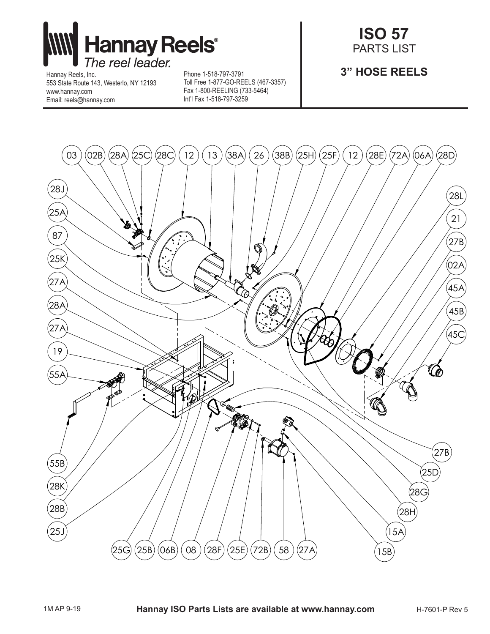

Hannay Reels, Inc. 553 State Route 143, Westerlo, NY 12193 www.hannay.com Email: reels@hannay.com

Phone 1-518-797-3791 Toll Free 1-877-GO-REELS (467-3357) Fax 1-800-REELING (733-5464) Int'l Fax 1-518-797-3259

## **ISO 57** PARTS LIST

## **3" HOSE REELS**